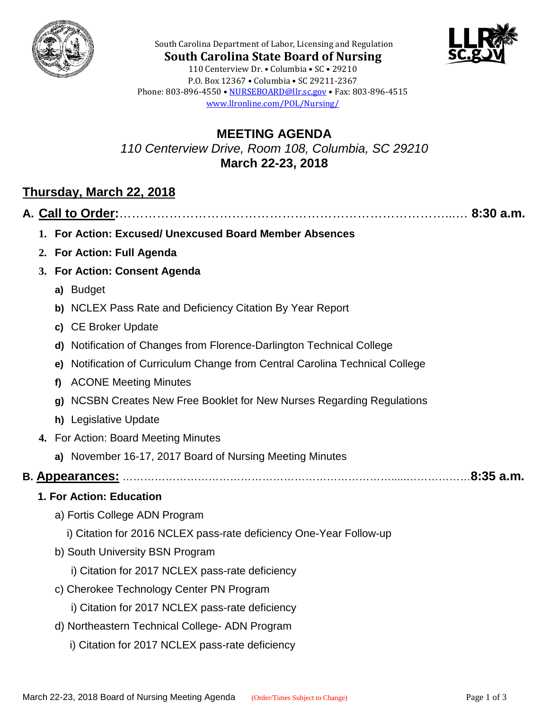



**South Carolina State Board of Nursing** 110 Centerview Dr. • Columbia • SC • 29210 P.O. Box 12367 • Columbia • SC 29211-2367 Phone: 803-896-4550 • [NURSEBOARD@llr.sc.gov](mailto:contactllr@llr.sc.gov) • Fax: 803-896-4515 [www.llronline.com/POL/Nursing/](http://www.llronline.com/POL/Nursing/)

South Carolina Department of Labor, Licensing and Regulation

### **MEETING AGENDA** *110 Centerview Drive, Room 108, Columbia, SC 29210* **March 22-23, 2018**

# **Thursday, March 22, 2018**

|--|--|--|

- **1. For Action: Excused/ Unexcused Board Member Absences**
- **2. For Action: Full Agenda**
- **3. For Action: Consent Agenda**
	- **a)** Budget
	- **b)** NCLEX Pass Rate and Deficiency Citation By Year Report
	- **c)** CE Broker Update
	- **d)** Notification of Changes from Florence-Darlington Technical College
	- **e)** Notification of Curriculum Change from Central Carolina Technical College
	- **f)** ACONE Meeting Minutes
	- **g)** NCSBN Creates New Free Booklet for New Nurses Regarding Regulations
	- **h)** Legislative Update
- **4.** For Action: Board Meeting Minutes
	- **a)** November 16-17, 2017 Board of Nursing Meeting Minutes

## **B. Appearances:** ………………………………………………………………….....………………**8:35 a.m.**

### **1. For Action: Education**

- a) Fortis College ADN Program
	- i) Citation for 2016 NCLEX pass-rate deficiency One-Year Follow-up
- b) South University BSN Program
	- i) Citation for 2017 NCLEX pass-rate deficiency
- c) Cherokee Technology Center PN Program
	- i) Citation for 2017 NCLEX pass-rate deficiency
- d) Northeastern Technical College- ADN Program
	- i) Citation for 2017 NCLEX pass-rate deficiency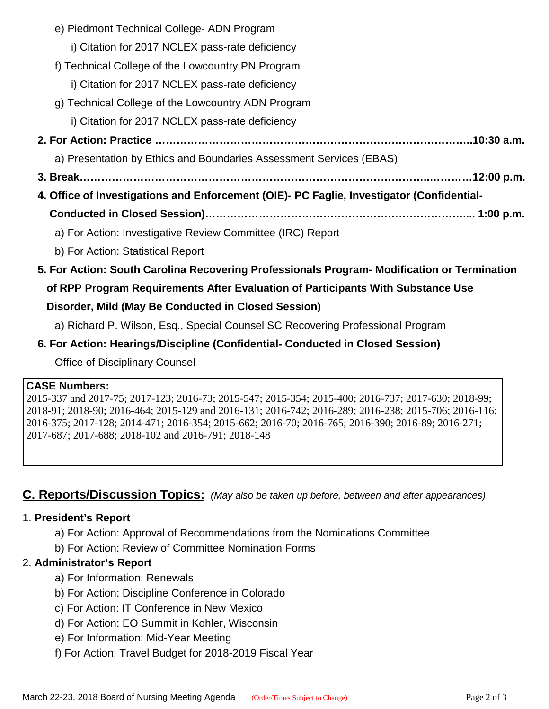- e) Piedmont Technical College- ADN Program i) Citation for 2017 NCLEX pass-rate deficiency f) Technical College of the Lowcountry PN Program i) Citation for 2017 NCLEX pass-rate deficiency g) Technical College of the Lowcountry ADN Program i) Citation for 2017 NCLEX pass-rate deficiency  **2. For Action: Practice ……………………………………………………………………………..10:30 a.m.** a) Presentation by Ethics and Boundaries Assessment Services (EBAS)  **3. Break……………………………………………………………………………………..…………12:00 p.m. 4. Office of Investigations and Enforcement (OIE)- PC Faglie, Investigator (Confidential- Conducted in Closed Session)……………………………………………………………….... 1:00 p.m.** a) For Action: Investigative Review Committee (IRC) Report b) For Action: Statistical Report
- **5. For Action: South Carolina Recovering Professionals Program- Modification or Termination of RPP Program Requirements After Evaluation of Participants With Substance Use Disorder, Mild (May Be Conducted in Closed Session)**

### a) Richard P. Wilson, Esq., Special Counsel SC Recovering Professional Program

 **6. For Action: Hearings/Discipline (Confidential- Conducted in Closed Session)**

Office of Disciplinary Counsel

#### **CASE Numbers:**

2015-337 and 2017-75; 2017-123; 2016-73; 2015-547; 2015-354; 2015-400; 2016-737; 2017-630; 2018-99; 2018-91; 2018-90; 2016-464; 2015-129 and 2016-131; 2016-742; 2016-289; 2016-238; 2015-706; 2016-116; 2016-375; 2017-128; 2014-471; 2016-354; 2015-662; 2016-70; 2016-765; 2016-390; 2016-89; 2016-271; 2017-687; 2017-688; 2018-102 and 2016-791; 2018-148

# **C. Reports/Discussion Topics:** *(May also be taken up before, between and after appearances)*

### 1. **President's Report**

- a) For Action: Approval of Recommendations from the Nominations Committee
- b) For Action: Review of Committee Nomination Forms

### 2. **Administrator's Report**

- a) For Information: Renewals
- b) For Action: Discipline Conference in Colorado
- c) For Action: IT Conference in New Mexico
- d) For Action: EO Summit in Kohler, Wisconsin
- e) For Information: Mid-Year Meeting
- f) For Action: Travel Budget for 2018-2019 Fiscal Year